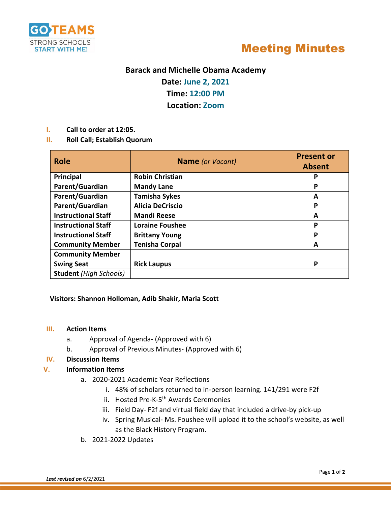



# **Barack and Michelle Obama Academy**

**Date: June 2, 2021**

**Time: 12:00 PM**

**Location: Zoom**

- **I. Call to order at 12:05.**
- **II. Roll Call; Establish Quorum**

| <b>Role</b>                   | <b>Name</b> (or Vacant) | <b>Present or</b><br><b>Absent</b> |
|-------------------------------|-------------------------|------------------------------------|
| Principal                     | <b>Robin Christian</b>  | P                                  |
| Parent/Guardian               | <b>Mandy Lane</b>       | Р                                  |
| Parent/Guardian               | <b>Tamisha Sykes</b>    | A                                  |
| Parent/Guardian               | <b>Alicia DeCriscio</b> | P                                  |
| <b>Instructional Staff</b>    | <b>Mandi Reese</b>      | A                                  |
| <b>Instructional Staff</b>    | <b>Loraine Foushee</b>  | P                                  |
| <b>Instructional Staff</b>    | <b>Brittany Young</b>   | Р                                  |
| <b>Community Member</b>       | <b>Tenisha Corpal</b>   | A                                  |
| <b>Community Member</b>       |                         |                                    |
| <b>Swing Seat</b>             | <b>Rick Laupus</b>      | P                                  |
| <b>Student</b> (High Schools) |                         |                                    |

#### **Visitors: Shannon Holloman, Adib Shakir, Maria Scott**

#### **III. Action Items**

- a. Approval of Agenda- (Approved with 6)
- b. Approval of Previous Minutes- (Approved with 6)

### **IV. Discussion Items**

### **V. Information Items**

- a. 2020-2021 Academic Year Reflections
	- i. 48% of scholars returned to in-person learning. 141/291 were F2f
	- ii. Hosted Pre-K-5<sup>th</sup> Awards Ceremonies
	- iii. Field Day- F2f and virtual field day that included a drive-by pick-up
	- iv. Spring Musical- Ms. Foushee will upload it to the school's website, as well as the Black History Program.
- b. 2021-2022 Updates